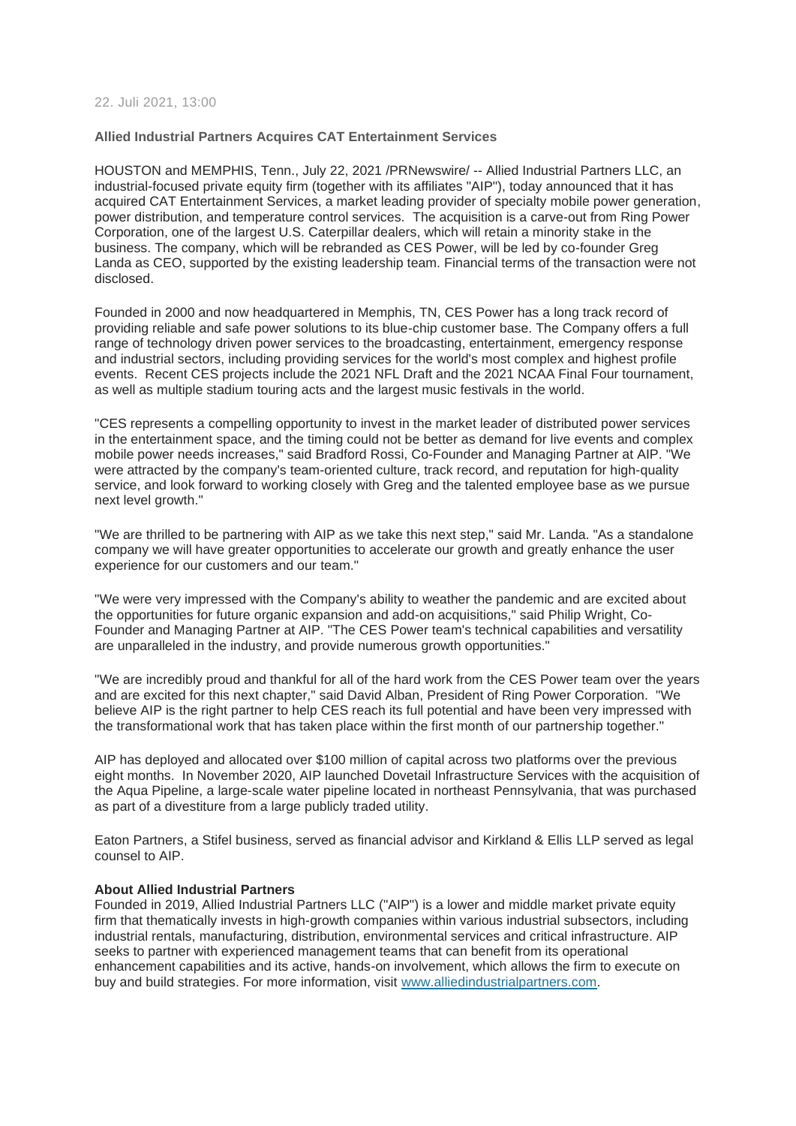## 22. Juli 2021, 13:00

## **Allied Industrial Partners Acquires CAT Entertainment Services**

HOUSTON and MEMPHIS, Tenn., July 22, 2021 /PRNewswire/ -- Allied Industrial Partners LLC, an industrial-focused private equity firm (together with its affiliates "AIP"), today announced that it has acquired CAT Entertainment Services, a market leading provider of specialty mobile power generation, power distribution, and temperature control services. The acquisition is a carve-out from Ring Power Corporation, one of the largest U.S. Caterpillar dealers, which will retain a minority stake in the business. The company, which will be rebranded as CES Power, will be led by co-founder Greg Landa as CEO, supported by the existing leadership team. Financial terms of the transaction were not disclosed.

Founded in 2000 and now headquartered in Memphis, TN, CES Power has a long track record of providing reliable and safe power solutions to its blue-chip customer base. The Company offers a full range of technology driven power services to the broadcasting, entertainment, emergency response and industrial sectors, including providing services for the world's most complex and highest profile events. Recent CES projects include the 2021 NFL Draft and the 2021 NCAA Final Four tournament, as well as multiple stadium touring acts and the largest music festivals in the world.

"CES represents a compelling opportunity to invest in the market leader of distributed power services in the entertainment space, and the timing could not be better as demand for live events and complex mobile power needs increases," said Bradford Rossi, Co-Founder and Managing Partner at AIP. "We were attracted by the company's team-oriented culture, track record, and reputation for high-quality service, and look forward to working closely with Greg and the talented employee base as we pursue next level growth."

"We are thrilled to be partnering with AIP as we take this next step," said Mr. Landa. "As a standalone company we will have greater opportunities to accelerate our growth and greatly enhance the user experience for our customers and our team."

"We were very impressed with the Company's ability to weather the pandemic and are excited about the opportunities for future organic expansion and add-on acquisitions," said Philip Wright, Co-Founder and Managing Partner at AIP. "The CES Power team's technical capabilities and versatility are unparalleled in the industry, and provide numerous growth opportunities."

"We are incredibly proud and thankful for all of the hard work from the CES Power team over the years and are excited for this next chapter," said David Alban, President of Ring Power Corporation. "We believe AIP is the right partner to help CES reach its full potential and have been very impressed with the transformational work that has taken place within the first month of our partnership together."

AIP has deployed and allocated over \$100 million of capital across two platforms over the previous eight months. In November 2020, AIP launched Dovetail Infrastructure Services with the acquisition of the Aqua Pipeline, a large-scale water pipeline located in northeast Pennsylvania, that was purchased as part of a divestiture from a large publicly traded utility.

Eaton Partners, a Stifel business, served as financial advisor and Kirkland & Ellis LLP served as legal counsel to AIP.

#### **About Allied Industrial Partners**

Founded in 2019, Allied Industrial Partners LLC ("AIP") is a lower and middle market private equity firm that thematically invests in high-growth companies within various industrial subsectors, including industrial rentals, manufacturing, distribution, environmental services and critical infrastructure. AIP seeks to partner with experienced management teams that can benefit from its operational enhancement capabilities and its active, hands-on involvement, which allows the firm to execute on buy and build strategies. For more information, visit [www.alliedindustrialpartners.com.](https://c212.net/c/link/?t=0&l=en&o=3235766-1&h=920864850&u=http%3A%2F%2Fwww.alliedindustrialpartners.com%2F&a=www.alliedindustrialpartners.com)